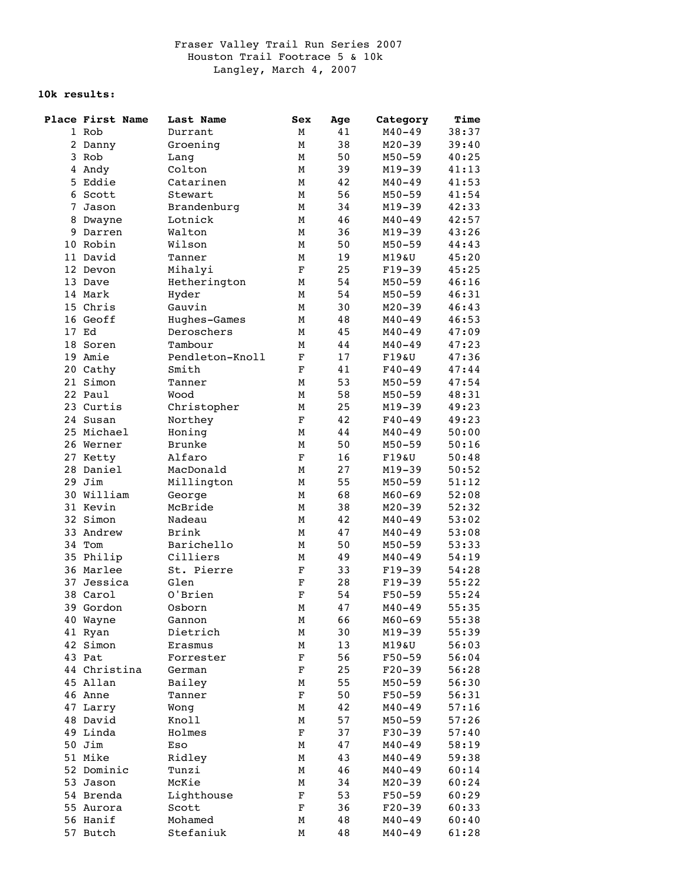## **10k results:**

|    | Place First Name | Last Name       | Sex         | Age  | Category   | Time  |
|----|------------------|-----------------|-------------|------|------------|-------|
|    | 1 Rob            | Durrant         | М           | 41   | $M40 - 49$ | 38:37 |
|    | 2 Danny          | Groening        | М           | 38   | $M20 - 39$ | 39:40 |
|    | 3 Rob            | Lang            | М           | 50   | $M50 - 59$ | 40:25 |
|    | 4 Andy           | Colton          | М           | 39   | $M19 - 39$ | 41:13 |
| 5. | Eddie            | Catarinen       | М           | 42   | $M40 - 49$ | 41:53 |
|    | 6 Scott          | Stewart         | М           | 56   | $M50 - 59$ | 41:54 |
|    | 7 Jason          | Brandenburg     | М           | 34   | $M19 - 39$ | 42:33 |
|    | 8 Dwayne         | Lotnick         | М           | 46   | $M40 - 49$ | 42:57 |
|    | 9 Darren         | Walton          | М           | 36   | $M19 - 39$ | 43:26 |
|    | 10 Robin         | Wilson          | М           | 50   | $M50 - 59$ | 44:43 |
|    | 11 David         | Tanner          | М           | 19   | M19&U      | 45:20 |
|    | 12 Devon         | Mihalyi         | $\mathbf F$ | 25   | $F19-39$   | 45:25 |
|    | 13 Dave          | Hetherington    | М           | 54   | $M50 - 59$ | 46:16 |
|    | 14 Mark          | Hyder           | М           | 54   | $M50 - 59$ | 46:31 |
|    | 15 Chris         | Gauvin          |             | 30   | $M20 - 39$ | 46:43 |
|    |                  |                 | М           |      |            |       |
|    | 16 Geoff         | Hughes-Games    | М           | 48   | $M40 - 49$ | 46:53 |
|    | 17 Ed            | Deroschers      | М           | 45   | $M40 - 49$ | 47:09 |
|    | 18 Soren         | Tambour         | М           | 44   | $M40 - 49$ | 47:23 |
|    | 19 Amie          | Pendleton-Knoll | $\mathbf F$ | 17   | F19&U      | 47:36 |
|    | 20 Cathy         | Smith           | $\mathbf F$ | 41   | $F40 - 49$ | 47:44 |
|    | 21 Simon         | Tanner          | М           | 53   | $M50 - 59$ | 47:54 |
|    | 22 Paul          | Wood            | М           | 58   | $M50 - 59$ | 48:31 |
|    | 23 Curtis        | Christopher     | М           | 25   | $M19 - 39$ | 49:23 |
|    | 24 Susan         | Northey         | $\mathbf F$ | 42   | $F40 - 49$ | 49:23 |
|    | 25 Michael       | Honing          | М           | 44   | $M40 - 49$ | 50:00 |
|    | 26 Werner        | <b>Brunke</b>   | М           | 50   | $M50 - 59$ | 50:16 |
|    | 27 Ketty         | Alfaro          | F           | 16   | $F19\&U$   | 50:48 |
|    | 28 Daniel        | MacDonald       | М           | 27   | $M19 - 39$ | 50:52 |
|    | 29 Jim           | Millington      | М           | 55   | $M50 - 59$ | 51:12 |
|    | 30 William       | George          | М           | 68   | $M60 - 69$ | 52:08 |
|    | 31 Kevin         | McBride         | М           | 38   | $M20 - 39$ | 52:32 |
|    | 32 Simon         | Nadeau          | М           | 42   | $M40 - 49$ | 53:02 |
|    | 33 Andrew        | <b>Brink</b>    | М           | 47   | $M40 - 49$ | 53:08 |
|    | 34 Tom           | Barichello      | М           | 50   | $M50 - 59$ | 53:33 |
|    | 35 Philip        | Cilliers        | М           | 49   | $M40 - 49$ | 54:19 |
|    | 36 Marlee        | St. Pierre      | $\mathbf F$ | 33   | $F19-39$   | 54:28 |
|    | 37 Jessica       | Glen            | $\mathbf F$ | 28   | F19-39     | 55:22 |
|    | 38 Carol         | 0'Brien         | $\mathbf F$ | 54   | $F50 - 59$ | 55:24 |
|    | 39 Gordon        | Osborn          | M           | 47   | $M40 - 49$ | 55:35 |
|    | 40 Wayne         | Gannon          | М           | 66   | $M60 - 69$ | 55:38 |
|    | 41 Ryan          | Dietrich        | М           | $30$ | $M19 - 39$ | 55:39 |
|    | 42 Simon         | Erasmus         |             | 13   | M19&U      | 56:03 |
|    |                  |                 | Μ           |      | $F50 - 59$ |       |
|    | 43 Pat           | Forrester       | F           | 56   |            | 56:04 |
|    | 44 Christina     | German          | F           | 25   | $F20-39$   | 56:28 |
|    | 45 Allan         | Bailey          | М           | 55   | $M50 - 59$ | 56:30 |
|    | 46 Anne          | Tanner          | $\mathbf F$ | 50   | $F50 - 59$ | 56:31 |
|    | 47 Larry         | Wong            | М           | 42   | $M40 - 49$ | 57:16 |
|    | 48 David         | Knoll           | М           | 57   | $M50 - 59$ | 57:26 |
|    | 49 Linda         | Holmes          | F           | 37   | $F30-39$   | 57:40 |
|    | 50 Jim           | Eso             | М           | 47   | $M40 - 49$ | 58:19 |
|    | 51 Mike          | Ridley          | М           | 43   | $M40 - 49$ | 59:38 |
|    | 52 Dominic       | Tunzi           | М           | 46   | $M40 - 49$ | 60:14 |
|    | 53 Jason         | McKie           | М           | 34   | $M20 - 39$ | 60:24 |
|    | 54 Brenda        | Lighthouse      | F           | 53   | $F50 - 59$ | 60:29 |
|    | 55 Aurora        | Scott           | F           | 36   | $F20-39$   | 60:33 |
|    | 56 Hanif         | Mohamed         | М           | 48   | $M40 - 49$ | 60:40 |
|    | 57 Butch         | Stefaniuk       | М           | 48   | $M40 - 49$ | 61:28 |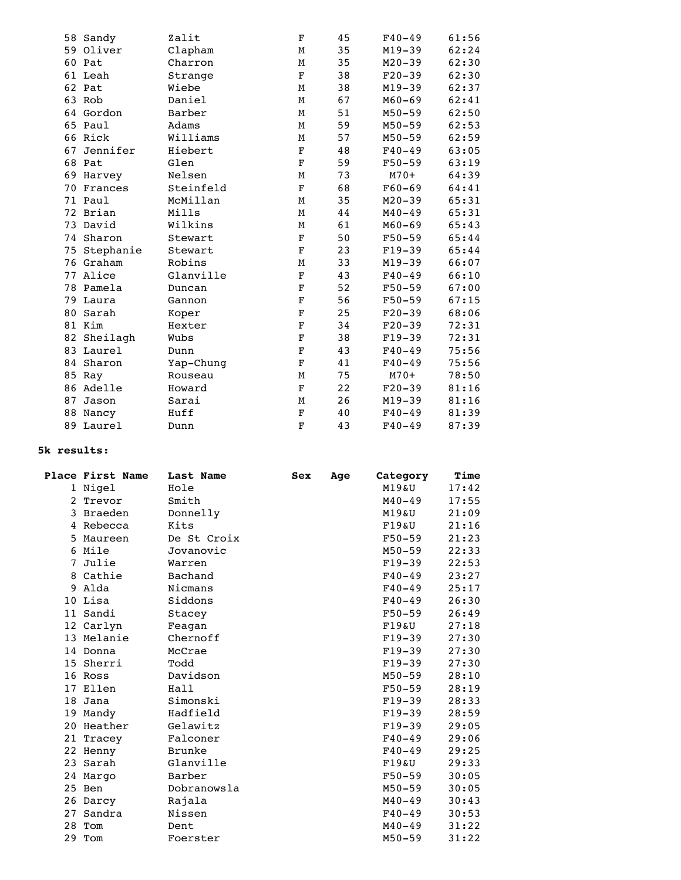|  | 58 Sandy     | Zalit     | F           | 45 | $F40 - 49$ | 61:56 |
|--|--------------|-----------|-------------|----|------------|-------|
|  | 59 Oliver    | Clapham   | М           | 35 | $M19-39$   | 62:24 |
|  | 60 Pat       | Charron   | М           | 35 | $M20 - 39$ | 62:30 |
|  | 61 Leah      | Strange   | $\mathbf F$ | 38 | $F20-39$   | 62:30 |
|  | 62 Pat       | Wiebe     | М           | 38 | $M19 - 39$ | 62:37 |
|  | 63 Rob       | Daniel    | М           | 67 | $M60 - 69$ | 62:41 |
|  | 64 Gordon    | Barber    | М           | 51 | $M50 - 59$ | 62:50 |
|  | 65 Paul      | Adams     | М           | 59 | $M50 - 59$ | 62:53 |
|  | 66 Rick      | Williams  | М           | 57 | $M50 - 59$ | 62:59 |
|  | 67 Jennifer  | Hiebert   | $\mathbf F$ | 48 | $F40 - 49$ | 63:05 |
|  | 68 Pat       | Glen      | $\mathbf F$ | 59 | $F50 - 59$ | 63:19 |
|  | 69 Harvey    | Nelsen    | М           | 73 | $M70+$     | 64:39 |
|  | 70 Frances   | Steinfeld | $\mathbf F$ | 68 | $F60 - 69$ | 64:41 |
|  | 71 Paul      | McMillan  | М           | 35 | $M20 - 39$ | 65:31 |
|  | 72 Brian     | Mills     | М           | 44 | $M40 - 49$ | 65:31 |
|  | 73 David     | Wilkins   | М           | 61 | $M60 - 69$ | 65:43 |
|  | 74 Sharon    | Stewart   | $\mathbf F$ | 50 | $F50 - 59$ | 65:44 |
|  | 75 Stephanie | Stewart   | $\mathbf F$ | 23 | $F19-39$   | 65:44 |
|  | 76 Graham    | Robins    | М           | 33 | $M19 - 39$ | 66:07 |
|  | 77 Alice     | Glanville | $\mathbf F$ | 43 | $F40 - 49$ | 66:10 |
|  | 78 Pamela    | Duncan    | $\mathbf F$ | 52 | $F50 - 59$ | 67:00 |
|  | 79 Laura     | Gannon    | $\mathbf F$ | 56 | $F50 - 59$ | 67:15 |
|  | 80 Sarah     | Koper     | $\mathbf F$ | 25 | $F20-39$   | 68:06 |
|  | 81 Kim       | Hexter    | $\mathbf F$ | 34 | $F20-39$   | 72:31 |
|  | 82 Sheilagh  | Wubs      | $\mathbf F$ | 38 | $F19-39$   | 72:31 |
|  | 83 Laurel    | Dunn      | $\mathbf F$ | 43 | $F40 - 49$ | 75:56 |
|  | 84 Sharon    | Yap-Chung | $\mathbf F$ | 41 | $F40 - 49$ | 75:56 |
|  | 85 Ray       | Rouseau   | М           | 75 | $M70+$     | 78:50 |
|  | 86 Adelle    | Howard    | $\mathbf F$ | 22 | $F20-39$   | 81:16 |
|  | 87 Jason     | Sarai     | М           | 26 | $M19 - 39$ | 81:16 |
|  | 88 Nancy     | Huff      | $\mathbf F$ | 40 | $F40 - 49$ | 81:39 |
|  | 89 Laurel    | Dunn      | $\mathbf F$ | 43 | $F40 - 49$ | 87:39 |
|  |              |           |             |    |            |       |

## **5k results:**

|   | Place First Name | Last Name   | Sex | Age | Category   | Time  |
|---|------------------|-------------|-----|-----|------------|-------|
|   | 1 Nigel          | Hole        |     |     | M19&U      | 17:42 |
|   | 2 Trevor         | Smith       |     |     | $M40 - 49$ | 17:55 |
|   | 3 Braeden        | Donnelly    |     |     | M19&U      | 21:09 |
|   | 4 Rebecca        | Kits        |     |     | F19aU      | 21:16 |
|   | 5 Maureen        | De St Croix |     |     | $F50 - 59$ | 21:23 |
|   | 6 Mile           | Jovanovic   |     |     | $M50 - 59$ | 22:33 |
| 7 | Julie            | Warren      |     |     | $F19-39$   | 22:53 |
|   | 8 Cathie         | Bachand     |     |     | $F40 - 49$ | 23:27 |
|   | 9 Alda           | Nicmans     |     |     | $F40 - 49$ | 25:17 |
|   | 10 Lisa          | Siddons     |     |     | $F40-49$   | 26:30 |
|   | 11 Sandi         | Stacey      |     |     | $F50 - 59$ | 26:49 |
|   | 12 Carlyn        | Feagan      |     |     | $F19\&U$   | 27:18 |
|   | 13 Melanie       | Chernoff    |     |     | $F19-39$   | 27:30 |
|   | 14 Donna         | McCrae      |     |     | $F19-39$   | 27:30 |
|   | 15 Sherri        | Todd        |     |     | $F19-39$   | 27:30 |
|   | 16 Ross          | Davidson    |     |     | $M50 - 59$ | 28:10 |
|   | 17 Ellen         | Hall        |     |     | $F50 - 59$ | 28:19 |
|   | 18 Jana          | Simonski    |     |     | $F19-39$   | 28:33 |
|   | 19 Mandy         | Hadfield    |     |     | $F19-39$   | 28:59 |
|   | 20 Heather       | Gelawitz    |     |     | $F19-39$   | 29:05 |
|   | 21 Tracey        | Falconer    |     |     | $F40 - 49$ | 29:06 |
|   | 22 Henny         | Brunke      |     |     | $F40-49$   | 29:25 |
|   | 23 Sarah         | Glanville   |     |     | $F19\&U$   | 29:33 |
|   | 24 Margo         | Barber      |     |     | $F50 - 59$ | 30:05 |
|   | 25 Ben           | Dobranowsla |     |     | $M50 - 59$ | 30:05 |
|   | 26 Darcy         | Rajala      |     |     | $M40 - 49$ | 30:43 |
|   | 27 Sandra        | Nissen      |     |     | $F40 - 49$ | 30:53 |
|   | 28 Tom           | Dent        |     |     | $M40 - 49$ | 31:22 |
|   | 29 Tom           | Foerster    |     |     | $M50 - 59$ | 31:22 |